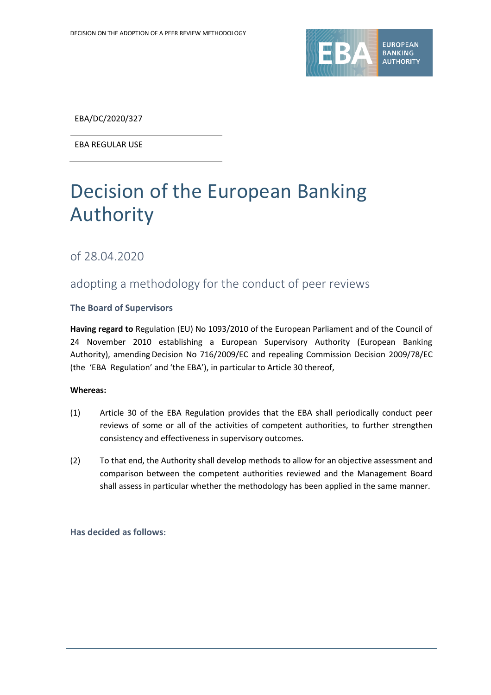

EBA/DC/2020/327

EBA REGULAR USE

# Decision of the European Banking Authority

of 28.04.2020

# adopting a methodology for the conduct of peer reviews

#### **The Board of Supervisors**

**Having regard to** Regulation (EU) No 1093/2010 of the European Parliament and of the Council of 24 November 2010 establishing a European Supervisory Authority (European Banking Authority), amending Decision No 716/2009/EC and repealing Commission Decision 2009/78/EC (the 'EBA Regulation' and 'the EBA'), in particular to Article 30 thereof,

#### **Whereas:**

- (1) Article 30 of the EBA Regulation provides that the EBA shall periodically conduct peer reviews of some or all of the activities of competent authorities, to further strengthen consistency and effectiveness in supervisory outcomes.
- (2) To that end, the Authority shall develop methods to allow for an objective assessment and comparison between the competent authorities reviewed and the Management Board shall assess in particular whether the methodology has been applied in the same manner.

**Has decided as follows:**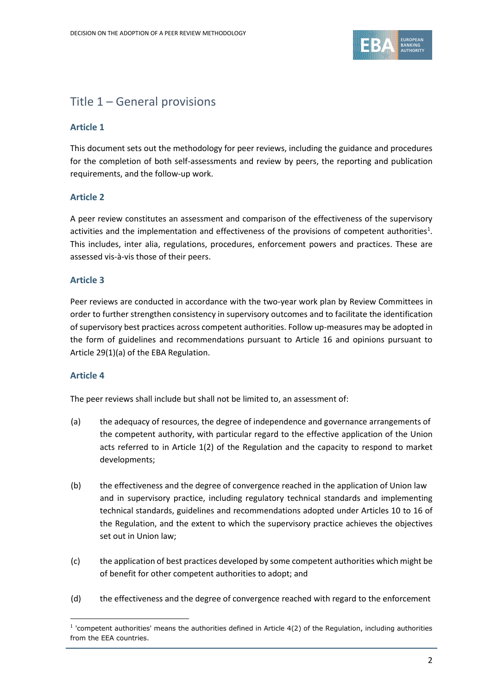

# Title 1 – General provisions

### **Article 1**

This document sets out the methodology for peer reviews, including the guidance and procedures for the completion of both self-assessments and review by peers, the reporting and publication requirements, and the follow-up work.

### **Article 2**

A peer review constitutes an assessment and comparison of the effectiveness of the supervisory activities and the implementation and effectiveness of the provisions of competent authorities<sup>1</sup>. This includes, inter alia, regulations, procedures, enforcement powers and practices. These are assessed vis-à-vis those of their peers.

#### **Article 3**

Peer reviews are conducted in accordance with the two-year work plan by Review Committees in order to further strengthen consistency in supervisory outcomes and to facilitate the identification of supervisory best practices across competent authorities. Follow up-measures may be adopted in the form of guidelines and recommendations pursuant to Article 16 and opinions pursuant to Article 29(1)(a) of the EBA Regulation.

#### **Article 4**

-

The peer reviews shall include but shall not be limited to, an assessment of:

- (a) the adequacy of resources, the degree of independence and governance arrangements of the competent authority, with particular regard to the effective application of the Union acts referred to in Article 1(2) of the Regulation and the capacity to respond to market developments;
- (b) the effectiveness and the degree of convergence reached in the application of Union law and in supervisory practice, including regulatory technical standards and implementing technical standards, guidelines and recommendations adopted under Articles 10 to 16 of the Regulation, and the extent to which the supervisory practice achieves the objectives set out in Union law;
- (c) the application of best practices developed by some competent authorities which might be of benefit for other competent authorities to adopt; and
- (d) the effectiveness and the degree of convergence reached with regard to the enforcement

 $<sup>1</sup>$  'competent authorities' means the authorities defined in Article 4(2) of the Regulation, including authorities</sup> from the EEA countries.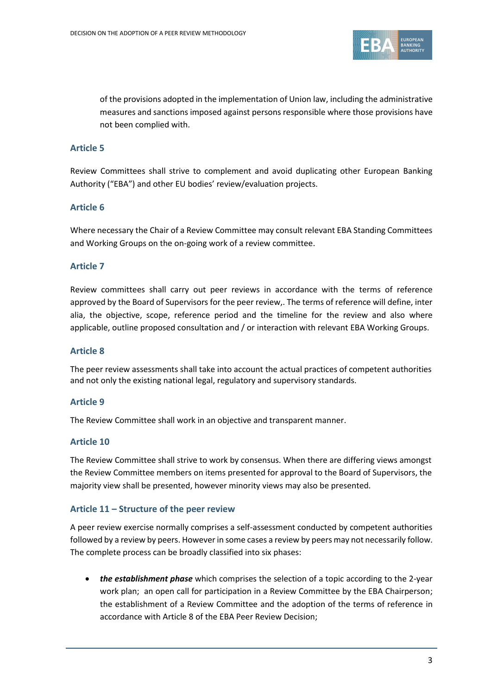

of the provisions adopted in the implementation of Union law, including the administrative measures and sanctions imposed against persons responsible where those provisions have not been complied with.

### **Article 5**

Review Committees shall strive to complement and avoid duplicating other European Banking Authority ("EBA") and other EU bodies' review/evaluation projects.

### **Article 6**

Where necessary the Chair of a Review Committee may consult relevant EBA Standing Committees and Working Groups on the on-going work of a review committee.

#### **Article 7**

Review committees shall carry out peer reviews in accordance with the terms of reference approved by the Board of Supervisors for the peer review,. The terms of reference will define, inter alia, the objective, scope, reference period and the timeline for the review and also where applicable, outline proposed consultation and / or interaction with relevant EBA Working Groups.

#### **Article 8**

The peer review assessments shall take into account the actual practices of competent authorities and not only the existing national legal, regulatory and supervisory standards.

#### **Article 9**

The Review Committee shall work in an objective and transparent manner.

#### **Article 10**

The Review Committee shall strive to work by consensus. When there are differing views amongst the Review Committee members on items presented for approval to the Board of Supervisors, the majority view shall be presented, however minority views may also be presented.

#### **Article 11 – Structure of the peer review**

A peer review exercise normally comprises a self-assessment conducted by competent authorities followed by a review by peers. However in some cases a review by peers may not necessarily follow. The complete process can be broadly classified into six phases:

 *the establishment phase* which comprises the selection of a topic according to the 2-year work plan; an open call for participation in a Review Committee by the EBA Chairperson; the establishment of a Review Committee and the adoption of the terms of reference in accordance with Article 8 of the EBA Peer Review Decision;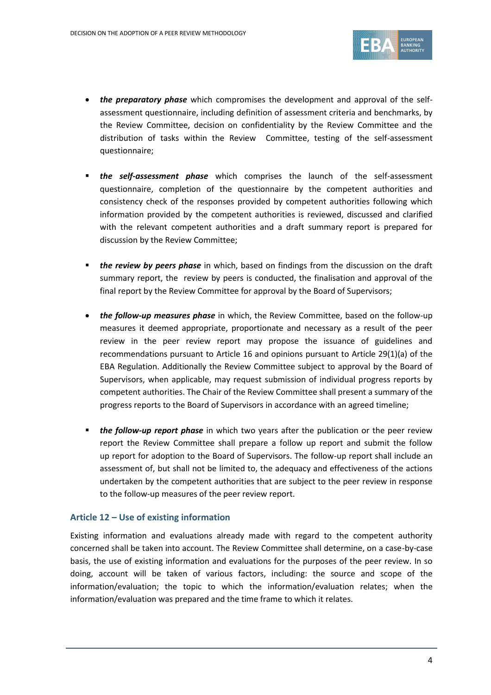

- *the preparatory phase* which compromises the development and approval of the selfassessment questionnaire, including definition of assessment criteria and benchmarks, by the Review Committee, decision on confidentiality by the Review Committee and the distribution of tasks within the Review Committee, testing of the self-assessment questionnaire;
- *the self-assessment phase* which comprises the launch of the self-assessment questionnaire, completion of the questionnaire by the competent authorities and consistency check of the responses provided by competent authorities following which information provided by the competent authorities is reviewed, discussed and clarified with the relevant competent authorities and a draft summary report is prepared for discussion by the Review Committee;
- **the review by peers phase** in which, based on findings from the discussion on the draft summary report, the review by peers is conducted, the finalisation and approval of the final report by the Review Committee for approval by the Board of Supervisors;
- *the follow-up measures phase* in which, the Review Committee, based on the follow-up measures it deemed appropriate, proportionate and necessary as a result of the peer review in the peer review report may propose the issuance of guidelines and recommendations pursuant to Article 16 and opinions pursuant to Article 29(1)(a) of the EBA Regulation. Additionally the Review Committee subject to approval by the Board of Supervisors, when applicable, may request submission of individual progress reports by competent authorities. The Chair of the Review Committee shall present a summary of the progress reports to the Board of Supervisors in accordance with an agreed timeline;
- **the follow-up report phase** in which two years after the publication or the peer review report the Review Committee shall prepare a follow up report and submit the follow up report for adoption to the Board of Supervisors. The follow-up report shall include an assessment of, but shall not be limited to, the adequacy and effectiveness of the actions undertaken by the competent authorities that are subject to the peer review in response to the follow-up measures of the peer review report.

### **Article 12 – Use of existing information**

Existing information and evaluations already made with regard to the competent authority concerned shall be taken into account. The Review Committee shall determine, on a case-by-case basis, the use of existing information and evaluations for the purposes of the peer review. In so doing, account will be taken of various factors, including: the source and scope of the information/evaluation; the topic to which the information/evaluation relates; when the information/evaluation was prepared and the time frame to which it relates.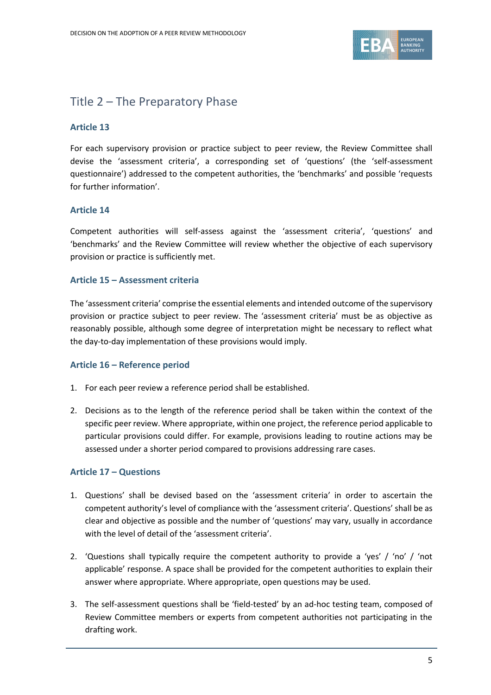

# Title 2 – The Preparatory Phase

### **Article 13**

For each supervisory provision or practice subject to peer review, the Review Committee shall devise the 'assessment criteria', a corresponding set of 'questions' (the 'self-assessment questionnaire') addressed to the competent authorities, the 'benchmarks' and possible 'requests for further information'.

#### **Article 14**

Competent authorities will self-assess against the 'assessment criteria', 'questions' and 'benchmarks' and the Review Committee will review whether the objective of each supervisory provision or practice is sufficiently met.

#### **Article 15 – Assessment criteria**

The 'assessment criteria' comprise the essential elements and intended outcome of the supervisory provision or practice subject to peer review. The 'assessment criteria' must be as objective as reasonably possible, although some degree of interpretation might be necessary to reflect what the day-to-day implementation of these provisions would imply.

#### **Article 16 – Reference period**

- 1. For each peer review a reference period shall be established.
- 2. Decisions as to the length of the reference period shall be taken within the context of the specific peer review. Where appropriate, within one project, the reference period applicable to particular provisions could differ. For example, provisions leading to routine actions may be assessed under a shorter period compared to provisions addressing rare cases.

#### **Article 17 – Questions**

- 1. Questions' shall be devised based on the 'assessment criteria' in order to ascertain the competent authority's level of compliance with the 'assessment criteria'. Questions' shall be as clear and objective as possible and the number of 'questions' may vary, usually in accordance with the level of detail of the 'assessment criteria'.
- 2. 'Questions shall typically require the competent authority to provide a 'yes' / 'no' / 'not applicable' response. A space shall be provided for the competent authorities to explain their answer where appropriate. Where appropriate, open questions may be used.
- 3. The self-assessment questions shall be 'field-tested' by an ad-hoc testing team, composed of Review Committee members or experts from competent authorities not participating in the drafting work.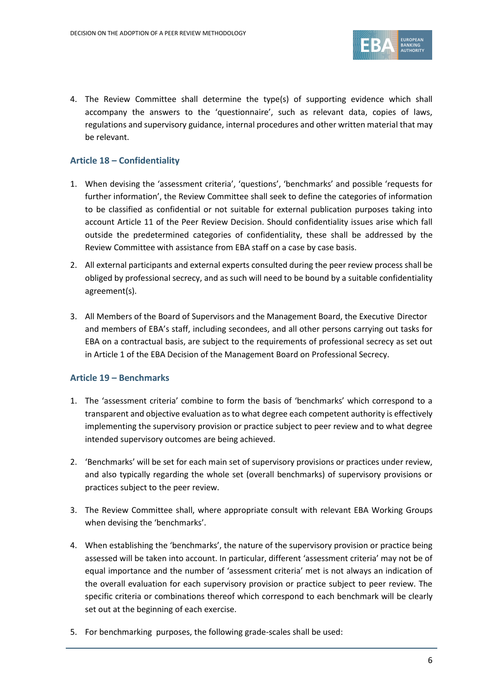

4. The Review Committee shall determine the type(s) of supporting evidence which shall accompany the answers to the 'questionnaire', such as relevant data, copies of laws, regulations and supervisory guidance, internal procedures and other written material that may be relevant.

#### **Article 18 – Confidentiality**

- 1. When devising the 'assessment criteria', 'questions', 'benchmarks' and possible 'requests for further information', the Review Committee shall seek to define the categories of information to be classified as confidential or not suitable for external publication purposes taking into account Article 11 of the Peer Review Decision. Should confidentiality issues arise which fall outside the predetermined categories of confidentiality, these shall be addressed by the Review Committee with assistance from EBA staff on a case by case basis.
- 2. All external participants and external experts consulted during the peer review process shall be obliged by professional secrecy, and as such will need to be bound by a suitable confidentiality agreement(s).
- 3. All Members of the Board of Supervisors and the Management Board, the Executive Director and members of EBA's staff, including secondees, and all other persons carrying out tasks for EBA on a contractual basis, are subject to the requirements of professional secrecy as set out in Article 1 of the EBA Decision of the Management Board on Professional Secrecy.

#### **Article 19 – Benchmarks**

- 1. The 'assessment criteria' combine to form the basis of 'benchmarks' which correspond to a transparent and objective evaluation as to what degree each competent authority is effectively implementing the supervisory provision or practice subject to peer review and to what degree intended supervisory outcomes are being achieved.
- 2. 'Benchmarks' will be set for each main set of supervisory provisions or practices under review, and also typically regarding the whole set (overall benchmarks) of supervisory provisions or practices subject to the peer review.
- 3. The Review Committee shall, where appropriate consult with relevant EBA Working Groups when devising the 'benchmarks'.
- 4. When establishing the 'benchmarks', the nature of the supervisory provision or practice being assessed will be taken into account. In particular, different 'assessment criteria' may not be of equal importance and the number of 'assessment criteria' met is not always an indication of the overall evaluation for each supervisory provision or practice subject to peer review. The specific criteria or combinations thereof which correspond to each benchmark will be clearly set out at the beginning of each exercise.
- 5. For benchmarking purposes, the following grade-scales shall be used: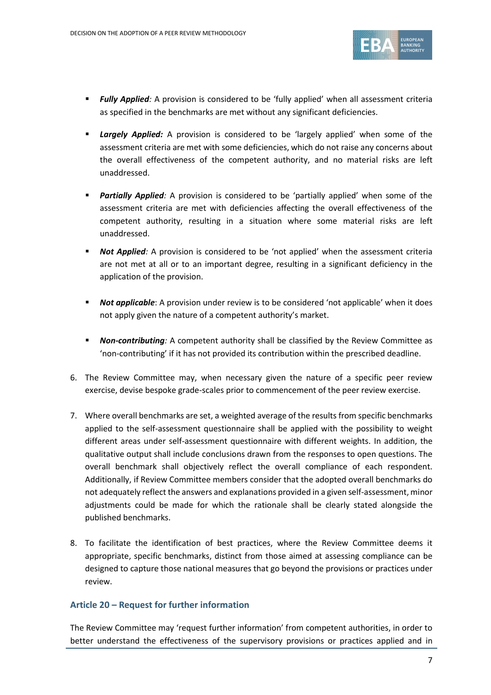

- **Fully Applied**: A provision is considered to be 'fully applied' when all assessment criteria as specified in the benchmarks are met without any significant deficiencies.
- **Largely Applied:** A provision is considered to be 'largely applied' when some of the assessment criteria are met with some deficiencies, which do not raise any concerns about the overall effectiveness of the competent authority, and no material risks are left unaddressed.
- *Partially Applied:* A provision is considered to be 'partially applied' when some of the assessment criteria are met with deficiencies affecting the overall effectiveness of the competent authority, resulting in a situation where some material risks are left unaddressed.
- **Not Applied**: A provision is considered to be 'not applied' when the assessment criteria are not met at all or to an important degree, resulting in a significant deficiency in the application of the provision.
- **Not applicable:** A provision under review is to be considered 'not applicable' when it does not apply given the nature of a competent authority's market.
- *Non-contributing:* A competent authority shall be classified by the Review Committee as 'non-contributing' if it has not provided its contribution within the prescribed deadline.
- 6. The Review Committee may, when necessary given the nature of a specific peer review exercise, devise bespoke grade-scales prior to commencement of the peer review exercise.
- 7. Where overall benchmarks are set, a weighted average of the results from specific benchmarks applied to the self-assessment questionnaire shall be applied with the possibility to weight different areas under self-assessment questionnaire with different weights. In addition, the qualitative output shall include conclusions drawn from the responses to open questions. The overall benchmark shall objectively reflect the overall compliance of each respondent. Additionally, if Review Committee members consider that the adopted overall benchmarks do not adequately reflect the answers and explanations provided in a given self-assessment, minor adjustments could be made for which the rationale shall be clearly stated alongside the published benchmarks.
- 8. To facilitate the identification of best practices, where the Review Committee deems it appropriate, specific benchmarks, distinct from those aimed at assessing compliance can be designed to capture those national measures that go beyond the provisions or practices under review.

#### **Article 20 – Request for further information**

The Review Committee may 'request further information' from competent authorities, in order to better understand the effectiveness of the supervisory provisions or practices applied and in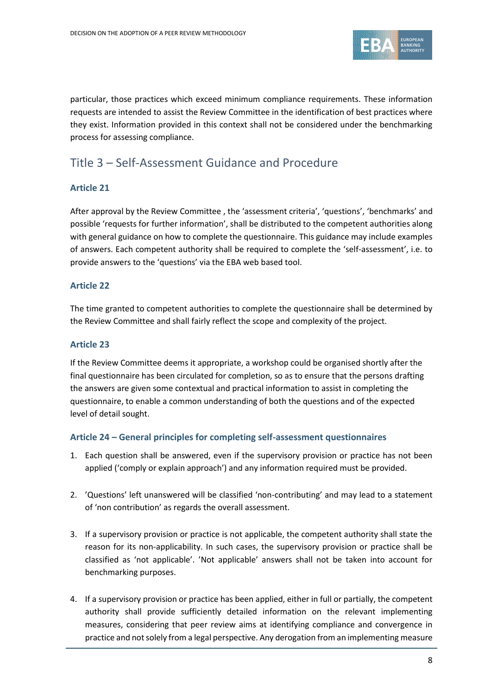

particular, those practices which exceed minimum compliance requirements. These information requests are intended to assist the Review Committee in the identification of best practices where they exist. Information provided in this context shall not be considered under the benchmarking process for assessing compliance.

# Title 3 – Self-Assessment Guidance and Procedure

#### **Article 21**

After approval by the Review Committee , the 'assessment criteria', 'questions', 'benchmarks' and possible 'requests for further information', shall be distributed to the competent authorities along with general guidance on how to complete the questionnaire. This guidance may include examples of answers. Each competent authority shall be required to complete the 'self-assessment', i.e. to provide answers to the 'questions' via the EBA web based tool.

#### **Article 22**

The time granted to competent authorities to complete the questionnaire shall be determined by the Review Committee and shall fairly reflect the scope and complexity of the project.

#### **Article 23**

If the Review Committee deems it appropriate, a workshop could be organised shortly after the final questionnaire has been circulated for completion, so as to ensure that the persons drafting the answers are given some contextual and practical information to assist in completing the questionnaire, to enable a common understanding of both the questions and of the expected level of detail sought.

#### **Article 24 – General principles for completing self-assessment questionnaires**

- 1. Each question shall be answered, even if the supervisory provision or practice has not been applied ('comply or explain approach') and any information required must be provided.
- 2. 'Questions' left unanswered will be classified 'non-contributing' and may lead to a statement of 'non contribution' as regards the overall assessment.
- 3. If a supervisory provision or practice is not applicable, the competent authority shall state the reason for its non-applicability. In such cases, the supervisory provision or practice shall be classified as 'not applicable'. 'Not applicable' answers shall not be taken into account for benchmarking purposes.
- 4. If a supervisory provision or practice has been applied, either in full or partially, the competent authority shall provide sufficiently detailed information on the relevant implementing measures, considering that peer review aims at identifying compliance and convergence in practice and not solely from a legal perspective. Any derogation from an implementing measure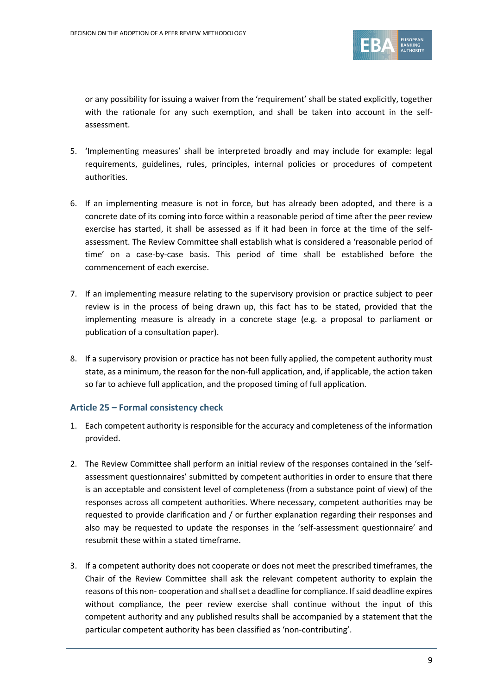

or any possibility for issuing a waiver from the 'requirement' shall be stated explicitly, together with the rationale for any such exemption, and shall be taken into account in the selfassessment.

- 5. 'Implementing measures' shall be interpreted broadly and may include for example: legal requirements, guidelines, rules, principles, internal policies or procedures of competent authorities.
- 6. If an implementing measure is not in force, but has already been adopted, and there is a concrete date of its coming into force within a reasonable period of time after the peer review exercise has started, it shall be assessed as if it had been in force at the time of the selfassessment. The Review Committee shall establish what is considered a 'reasonable period of time' on a case-by-case basis. This period of time shall be established before the commencement of each exercise.
- 7. If an implementing measure relating to the supervisory provision or practice subject to peer review is in the process of being drawn up, this fact has to be stated, provided that the implementing measure is already in a concrete stage (e.g. a proposal to parliament or publication of a consultation paper).
- 8. If a supervisory provision or practice has not been fully applied, the competent authority must state, as a minimum, the reason for the non-full application, and, if applicable, the action taken so far to achieve full application, and the proposed timing of full application.

#### **Article 25 – Formal consistency check**

- 1. Each competent authority is responsible for the accuracy and completeness of the information provided.
- 2. The Review Committee shall perform an initial review of the responses contained in the 'selfassessment questionnaires' submitted by competent authorities in order to ensure that there is an acceptable and consistent level of completeness (from a substance point of view) of the responses across all competent authorities. Where necessary, competent authorities may be requested to provide clarification and / or further explanation regarding their responses and also may be requested to update the responses in the 'self-assessment questionnaire' and resubmit these within a stated timeframe.
- 3. If a competent authority does not cooperate or does not meet the prescribed timeframes, the Chair of the Review Committee shall ask the relevant competent authority to explain the reasons of this non- cooperation and shall set a deadline for compliance. If said deadline expires without compliance, the peer review exercise shall continue without the input of this competent authority and any published results shall be accompanied by a statement that the particular competent authority has been classified as 'non-contributing'.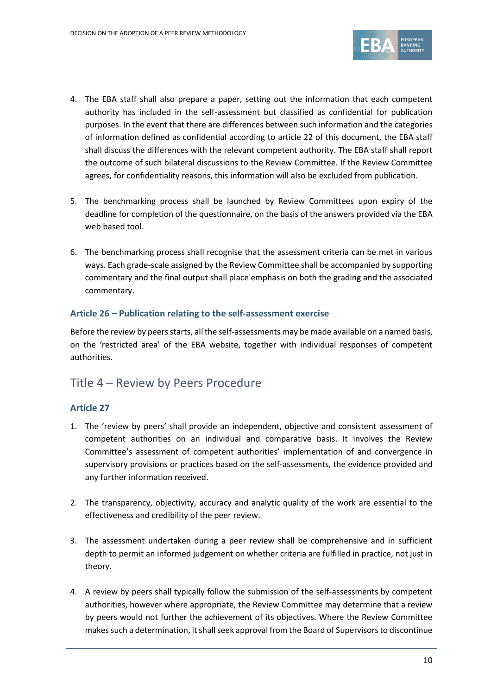

- 4. The EBA staff shall also prepare a paper, setting out the information that each competent authority has included in the self-assessment but classified as confidential for publication purposes. In the event that there are differences between such information and the categories of information defined as confidential according to article 22 of this document, the EBA staff shall discuss the differences with the relevant competent authority. The EBA staff shall report the outcome of such bilateral discussions to the Review Committee. If the Review Committee agrees, for confidentiality reasons, this information will also be excluded from publication.
- 5. The benchmarking process shall be launched by Review Committees upon expiry of the deadline for completion of the questionnaire, on the basis of the answers provided via the EBA web based tool.
- 6. The benchmarking process shall recognise that the assessment criteria can be met in various ways. Each grade-scale assigned by the Review Committee shall be accompanied by supporting commentary and the final output shall place emphasis on both the grading and the associated commentary.

### **Article 26 – Publication relating to the self-assessment exercise**

Before the review by peers starts, all the self-assessments may be made available on a named basis, on the 'restricted area' of the EBA website, together with individual responses of competent authorities.

# Title 4 – Review by Peers Procedure

#### **Article 27**

- 1. The 'review by peers' shall provide an independent, objective and consistent assessment of competent authorities on an individual and comparative basis. It involves the Review Committee's assessment of competent authorities' implementation of and convergence in supervisory provisions or practices based on the self-assessments, the evidence provided and any further information received.
- 2. The transparency, objectivity, accuracy and analytic quality of the work are essential to the effectiveness and credibility of the peer review.
- 3. The assessment undertaken during a peer review shall be comprehensive and in sufficient depth to permit an informed judgement on whether criteria are fulfilled in practice, not just in theory.
- 4. A review by peers shall typically follow the submission of the self-assessments by competent authorities, however where appropriate, the Review Committee may determine that a review by peers would not further the achievement of its objectives. Where the Review Committee makes such a determination, it shall seek approval from the Board of Supervisors to discontinue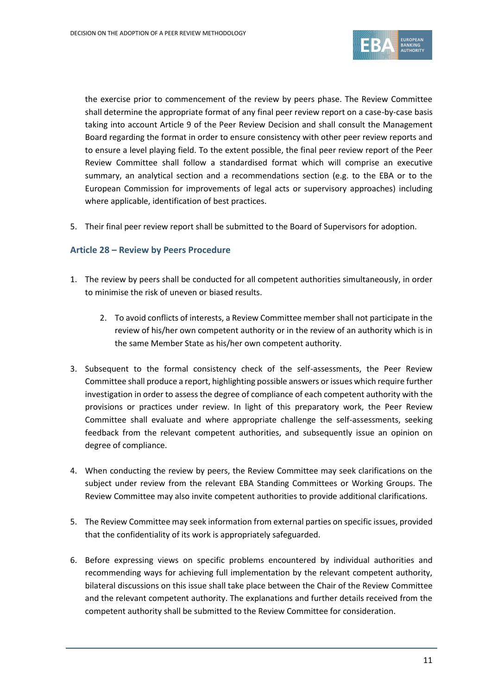

the exercise prior to commencement of the review by peers phase. The Review Committee shall determine the appropriate format of any final peer review report on a case-by-case basis taking into account Article 9 of the Peer Review Decision and shall consult the Management Board regarding the format in order to ensure consistency with other peer review reports and to ensure a level playing field. To the extent possible, the final peer review report of the Peer Review Committee shall follow a standardised format which will comprise an executive summary, an analytical section and a recommendations section (e.g. to the EBA or to the European Commission for improvements of legal acts or supervisory approaches) including where applicable, identification of best practices.

5. Their final peer review report shall be submitted to the Board of Supervisors for adoption.

#### **Article 28 – Review by Peers Procedure**

- 1. The review by peers shall be conducted for all competent authorities simultaneously, in order to minimise the risk of uneven or biased results.
	- 2. To avoid conflicts of interests, a Review Committee member shall not participate in the review of his/her own competent authority or in the review of an authority which is in the same Member State as his/her own competent authority.
- 3. Subsequent to the formal consistency check of the self-assessments, the Peer Review Committee shall produce a report, highlighting possible answers or issues which require further investigation in order to assess the degree of compliance of each competent authority with the provisions or practices under review. In light of this preparatory work, the Peer Review Committee shall evaluate and where appropriate challenge the self-assessments, seeking feedback from the relevant competent authorities, and subsequently issue an opinion on degree of compliance.
- 4. When conducting the review by peers, the Review Committee may seek clarifications on the subject under review from the relevant EBA Standing Committees or Working Groups. The Review Committee may also invite competent authorities to provide additional clarifications.
- 5. The Review Committee may seek information from external parties on specific issues, provided that the confidentiality of its work is appropriately safeguarded.
- 6. Before expressing views on specific problems encountered by individual authorities and recommending ways for achieving full implementation by the relevant competent authority, bilateral discussions on this issue shall take place between the Chair of the Review Committee and the relevant competent authority. The explanations and further details received from the competent authority shall be submitted to the Review Committee for consideration.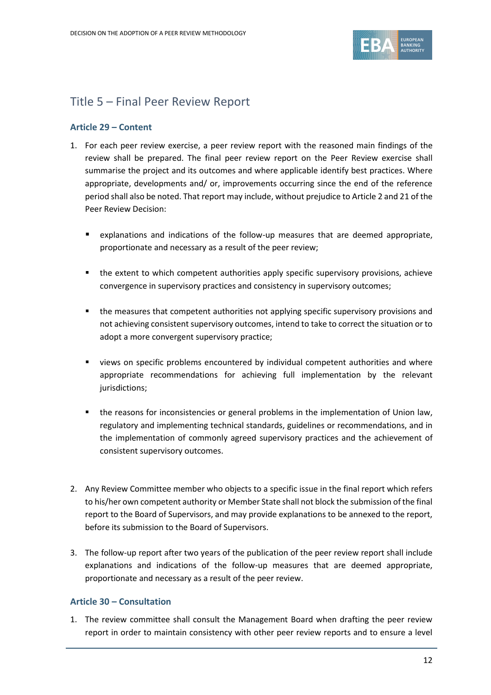

# Title 5 – Final Peer Review Report

### **Article 29 – Content**

- 1. For each peer review exercise, a peer review report with the reasoned main findings of the review shall be prepared. The final peer review report on the Peer Review exercise shall summarise the project and its outcomes and where applicable identify best practices. Where appropriate, developments and/ or, improvements occurring since the end of the reference period shall also be noted. That report may include, without prejudice to Article 2 and 21 of the Peer Review Decision:
	- explanations and indications of the follow-up measures that are deemed appropriate, proportionate and necessary as a result of the peer review;
	- **the extent to which competent authorities apply specific supervisory provisions, achieve** convergence in supervisory practices and consistency in supervisory outcomes;
	- **the measures that competent authorities not applying specific supervisory provisions and** not achieving consistent supervisory outcomes, intend to take to correct the situation or to adopt a more convergent supervisory practice;
	- views on specific problems encountered by individual competent authorities and where appropriate recommendations for achieving full implementation by the relevant jurisdictions;
	- the reasons for inconsistencies or general problems in the implementation of Union law, regulatory and implementing technical standards, guidelines or recommendations, and in the implementation of commonly agreed supervisory practices and the achievement of consistent supervisory outcomes.
- 2. Any Review Committee member who objects to a specific issue in the final report which refers to his/her own competent authority or Member State shall not block the submission of the final report to the Board of Supervisors, and may provide explanations to be annexed to the report, before its submission to the Board of Supervisors.
- 3. The follow-up report after two years of the publication of the peer review report shall include explanations and indications of the follow-up measures that are deemed appropriate, proportionate and necessary as a result of the peer review.

#### **Article 30 – Consultation**

1. The review committee shall consult the Management Board when drafting the peer review report in order to maintain consistency with other peer review reports and to ensure a level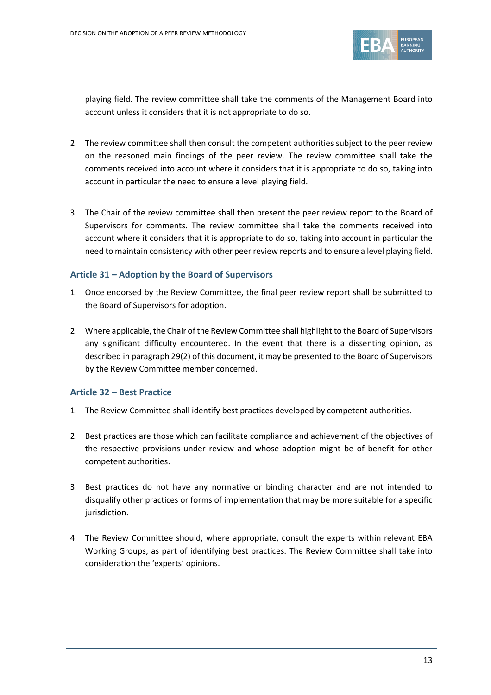

playing field. The review committee shall take the comments of the Management Board into account unless it considers that it is not appropriate to do so.

- 2. The review committee shall then consult the competent authorities subject to the peer review on the reasoned main findings of the peer review. The review committee shall take the comments received into account where it considers that it is appropriate to do so, taking into account in particular the need to ensure a level playing field.
- 3. The Chair of the review committee shall then present the peer review report to the Board of Supervisors for comments. The review committee shall take the comments received into account where it considers that it is appropriate to do so, taking into account in particular the need to maintain consistency with other peer review reports and to ensure a level playing field.

#### **Article 31 – Adoption by the Board of Supervisors**

- 1. Once endorsed by the Review Committee, the final peer review report shall be submitted to the Board of Supervisors for adoption.
- 2. Where applicable, the Chair of the Review Committee shall highlight to the Board of Supervisors any significant difficulty encountered. In the event that there is a dissenting opinion, as described in paragraph 29(2) of this document, it may be presented to the Board of Supervisors by the Review Committee member concerned.

#### **Article 32 – Best Practice**

- 1. The Review Committee shall identify best practices developed by competent authorities.
- 2. Best practices are those which can facilitate compliance and achievement of the objectives of the respective provisions under review and whose adoption might be of benefit for other competent authorities.
- 3. Best practices do not have any normative or binding character and are not intended to disqualify other practices or forms of implementation that may be more suitable for a specific jurisdiction.
- 4. The Review Committee should, where appropriate, consult the experts within relevant EBA Working Groups, as part of identifying best practices. The Review Committee shall take into consideration the 'experts' opinions.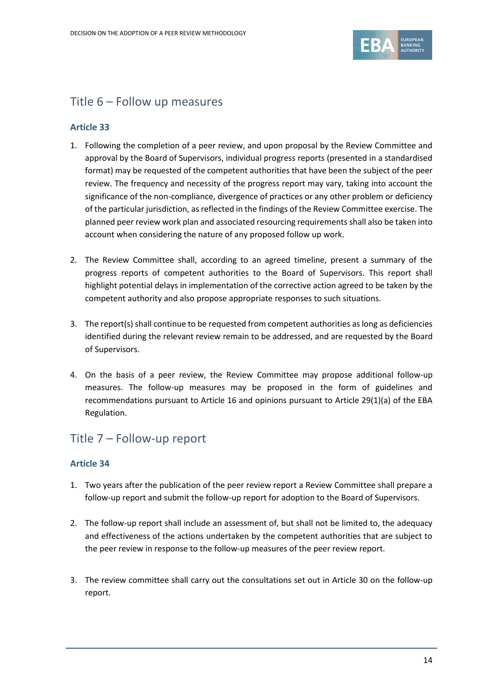

# Title 6 – Follow up measures

### **Article 33**

- 1. Following the completion of a peer review, and upon proposal by the Review Committee and approval by the Board of Supervisors, individual progress reports (presented in a standardised format) may be requested of the competent authorities that have been the subject of the peer review. The frequency and necessity of the progress report may vary, taking into account the significance of the non-compliance, divergence of practices or any other problem or deficiency of the particular jurisdiction, as reflected in the findings of the Review Committee exercise. The planned peer review work plan and associated resourcing requirements shall also be taken into account when considering the nature of any proposed follow up work.
- 2. The Review Committee shall, according to an agreed timeline, present a summary of the progress reports of competent authorities to the Board of Supervisors. This report shall highlight potential delays in implementation of the corrective action agreed to be taken by the competent authority and also propose appropriate responses to such situations.
- 3. The report(s) shall continue to be requested from competent authorities as long as deficiencies identified during the relevant review remain to be addressed, and are requested by the Board of Supervisors.
- 4. On the basis of a peer review, the Review Committee may propose additional follow-up measures. The follow-up measures may be proposed in the form of guidelines and recommendations pursuant to Article 16 and opinions pursuant to Article 29(1)(a) of the EBA Regulation.

# Title 7 – Follow-up report

#### **Article 34**

- 1. Two years after the publication of the peer review report a Review Committee shall prepare a follow-up report and submit the follow-up report for adoption to the Board of Supervisors.
- 2. The follow-up report shall include an assessment of, but shall not be limited to, the adequacy and effectiveness of the actions undertaken by the competent authorities that are subject to the peer review in response to the follow-up measures of the peer review report.
- 3. The review committee shall carry out the consultations set out in Article 30 on the follow-up report.